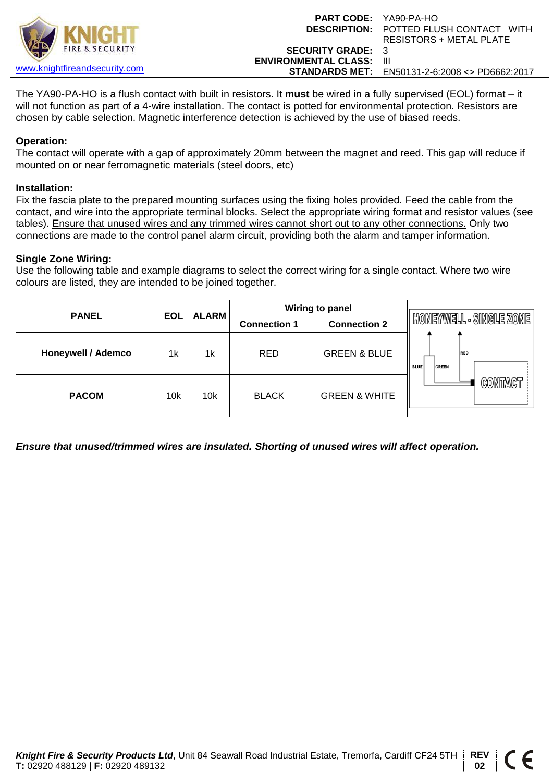

The YA90-PA-HO is a flush contact with built in resistors. It **must** be wired in a fully supervised (EOL) format – it will not function as part of a 4-wire installation. The contact is potted for environmental protection. Resistors are chosen by cable selection. Magnetic interference detection is achieved by the use of biased reeds.

## **Operation:**

The contact will operate with a gap of approximately 20mm between the magnet and reed. This gap will reduce if mounted on or near ferromagnetic materials (steel doors, etc)

#### **Installation:**

Fix the fascia plate to the prepared mounting surfaces using the fixing holes provided. Feed the cable from the contact, and wire into the appropriate terminal blocks. Select the appropriate wiring format and resistor values (see tables). Ensure that unused wires and any trimmed wires cannot short out to any other connections. Only two connections are made to the control panel alarm circuit, providing both the alarm and tamper information.

#### **Single Zone Wiring:**

Use the following table and example diagrams to select the correct wiring for a single contact. Where two wire colours are listed, they are intended to be joined together.

| <b>PANEL</b>              | <b>EOL</b> | <b>ALARM</b> | <b>Wiring to panel</b> |                          |                                    |
|---------------------------|------------|--------------|------------------------|--------------------------|------------------------------------|
|                           |            |              | <b>Connection 1</b>    | <b>Connection 2</b>      | HONEYWELL - SINGLE ZONE            |
| <b>Honeywell / Ademco</b> | 1k         | 1k           | <b>RED</b>             | <b>GREEN &amp; BLUE</b>  | RED<br><b>BLUE</b><br><b>GREEN</b> |
| <b>PACOM</b>              | 10k        | 10k          | <b>BLACK</b>           | <b>GREEN &amp; WHITE</b> | CONTACT                            |

*Ensure that unused/trimmed wires are insulated. Shorting of unused wires will affect operation.*